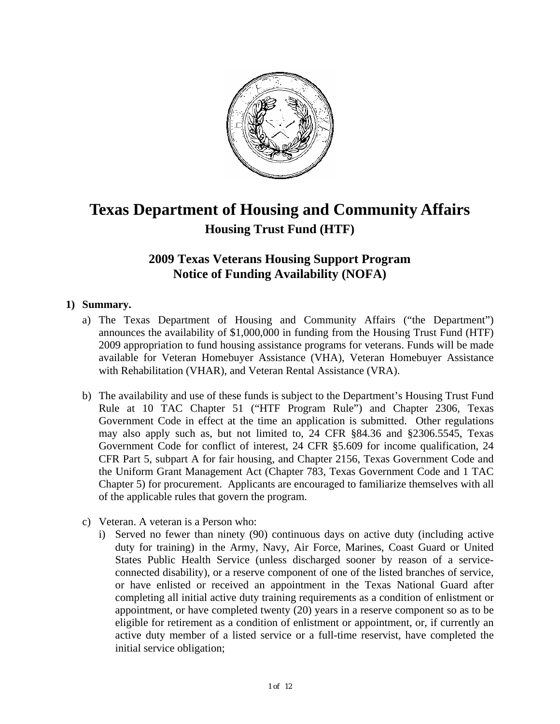

# **Texas Department of Housing and Community Affairs Housing Trust Fund (HTF)**

## **2009 Texas Veterans Housing Support Program Notice of Funding Availability (NOFA)**

## **1) Summary.**

- a) The Texas Department of Housing and Community Affairs ("the Department") announces the availability of \$1,000,000 in funding from the Housing Trust Fund (HTF) 2009 appropriation to fund housing assistance programs for veterans. Funds will be made available for Veteran Homebuyer Assistance (VHA), Veteran Homebuyer Assistance with Rehabilitation (VHAR), and Veteran Rental Assistance (VRA).
- b) The availability and use of these funds is subject to the Department's Housing Trust Fund Rule at 10 TAC Chapter 51 ("HTF Program Rule") and Chapter 2306, Texas Government Code in effect at the time an application is submitted. Other regulations may also apply such as, but not limited to, 24 CFR §84.36 and §2306.5545, Texas Government Code for conflict of interest, 24 CFR §5.609 for income qualification, 24 CFR Part 5, subpart A for fair housing, and Chapter 2156, Texas Government Code and the Uniform Grant Management Act (Chapter 783, Texas Government Code and 1 TAC Chapter 5) for procurement. Applicants are encouraged to familiarize themselves with all of the applicable rules that govern the program.
- c) Veteran. A veteran is a Person who:
	- i) Served no fewer than ninety (90) continuous days on active duty (including active duty for training) in the Army, Navy, Air Force, Marines, Coast Guard or United States Public Health Service (unless discharged sooner by reason of a serviceconnected disability), or a reserve component of one of the listed branches of service, or have enlisted or received an appointment in the Texas National Guard after completing all initial active duty training requirements as a condition of enlistment or appointment, or have completed twenty (20) years in a reserve component so as to be eligible for retirement as a condition of enlistment or appointment, or, if currently an active duty member of a listed service or a full-time reservist, have completed the initial service obligation;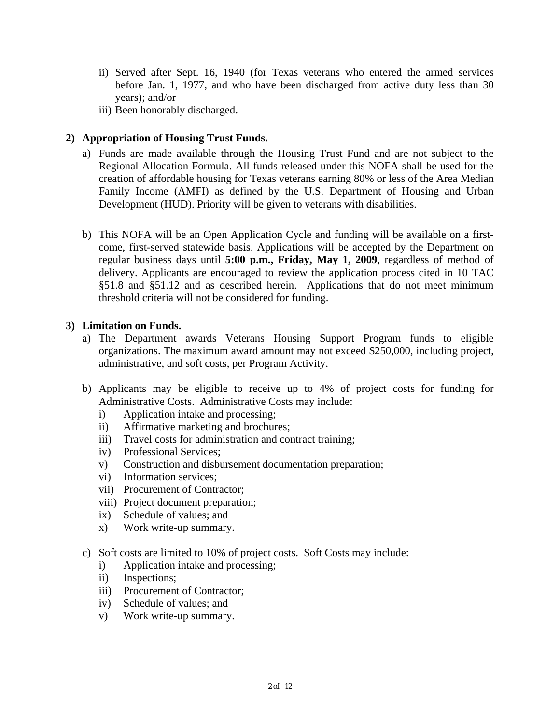- ii) Served after Sept. 16, 1940 (for Texas veterans who entered the armed services before Jan. 1, 1977, and who have been discharged from active duty less than 30 years); and/or
- iii) Been honorably discharged.

## **2) Appropriation of Housing Trust Funds.**

- a) Funds are made available through the Housing Trust Fund and are not subject to the Regional Allocation Formula. All funds released under this NOFA shall be used for the creation of affordable housing for Texas veterans earning 80% or less of the Area Median Family Income (AMFI) as defined by the U.S. Department of Housing and Urban Development (HUD). Priority will be given to veterans with disabilities.
- b) This NOFA will be an Open Application Cycle and funding will be available on a firstcome, first-served statewide basis. Applications will be accepted by the Department on regular business days until **5:00 p.m., Friday, May 1, 2009**, regardless of method of delivery. Applicants are encouraged to review the application process cited in 10 TAC §51.8 and §51.12 and as described herein. Applications that do not meet minimum threshold criteria will not be considered for funding.

#### **3) Limitation on Funds.**

- a) The Department awards Veterans Housing Support Program funds to eligible organizations. The maximum award amount may not exceed \$250,000, including project, administrative, and soft costs, per Program Activity.
- b) Applicants may be eligible to receive up to 4% of project costs for funding for Administrative Costs. Administrative Costs may include:
	- i) Application intake and processing;
	- ii) Affirmative marketing and brochures;
	- iii) Travel costs for administration and contract training;
	- iv) Professional Services;
	- v) Construction and disbursement documentation preparation;
	- vi) Information services;
	- vii) Procurement of Contractor;
	- viii) Project document preparation;
	- ix) Schedule of values; and
	- x) Work write-up summary.
- c) Soft costs are limited to 10% of project costs. Soft Costs may include:
	- i) Application intake and processing;
	- ii) Inspections;
	- iii) Procurement of Contractor;
	- iv) Schedule of values; and
	- v) Work write-up summary.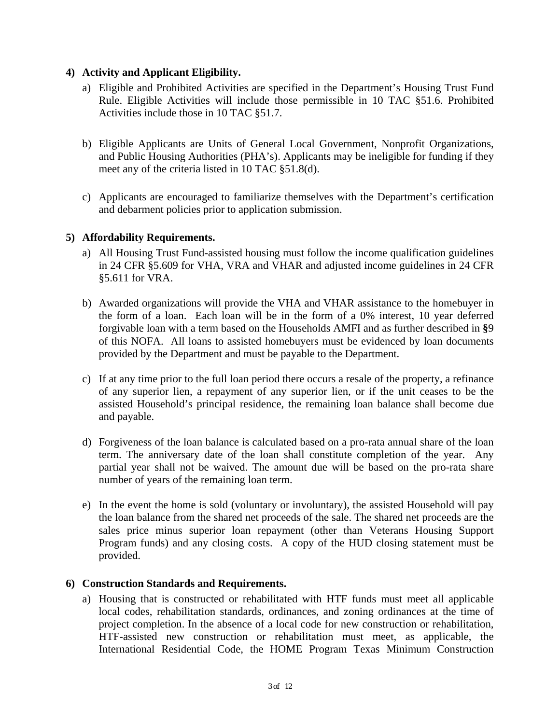## **4) Activity and Applicant Eligibility.**

- a) Eligible and Prohibited Activities are specified in the Department's Housing Trust Fund Rule. Eligible Activities will include those permissible in 10 TAC §51.6. Prohibited Activities include those in 10 TAC §51.7.
- b) Eligible Applicants are Units of General Local Government, Nonprofit Organizations, and Public Housing Authorities (PHA's). Applicants may be ineligible for funding if they meet any of the criteria listed in 10 TAC §51.8(d).
- c) Applicants are encouraged to familiarize themselves with the Department's certification and debarment policies prior to application submission.

## **5) Affordability Requirements.**

- a) All Housing Trust Fund-assisted housing must follow the income qualification guidelines in 24 CFR §5.609 for VHA, VRA and VHAR and adjusted income guidelines in 24 CFR §5.611 for VRA.
- b) Awarded organizations will provide the VHA and VHAR assistance to the homebuyer in the form of a loan. Each loan will be in the form of a 0% interest, 10 year deferred forgivable loan with a term based on the Households AMFI and as further described in **§**9 of this NOFA. All loans to assisted homebuyers must be evidenced by loan documents provided by the Department and must be payable to the Department.
- c) If at any time prior to the full loan period there occurs a resale of the property, a refinance of any superior lien, a repayment of any superior lien, or if the unit ceases to be the assisted Household's principal residence, the remaining loan balance shall become due and payable.
- d) Forgiveness of the loan balance is calculated based on a pro-rata annual share of the loan term. The anniversary date of the loan shall constitute completion of the year. Any partial year shall not be waived. The amount due will be based on the pro-rata share number of years of the remaining loan term.
- e) In the event the home is sold (voluntary or involuntary), the assisted Household will pay the loan balance from the shared net proceeds of the sale. The shared net proceeds are the sales price minus superior loan repayment (other than Veterans Housing Support Program funds) and any closing costs. A copy of the HUD closing statement must be provided.

#### **6) Construction Standards and Requirements.**

a) Housing that is constructed or rehabilitated with HTF funds must meet all applicable local codes, rehabilitation standards, ordinances, and zoning ordinances at the time of project completion. In the absence of a local code for new construction or rehabilitation, HTF-assisted new construction or rehabilitation must meet, as applicable, the International Residential Code, the HOME Program Texas Minimum Construction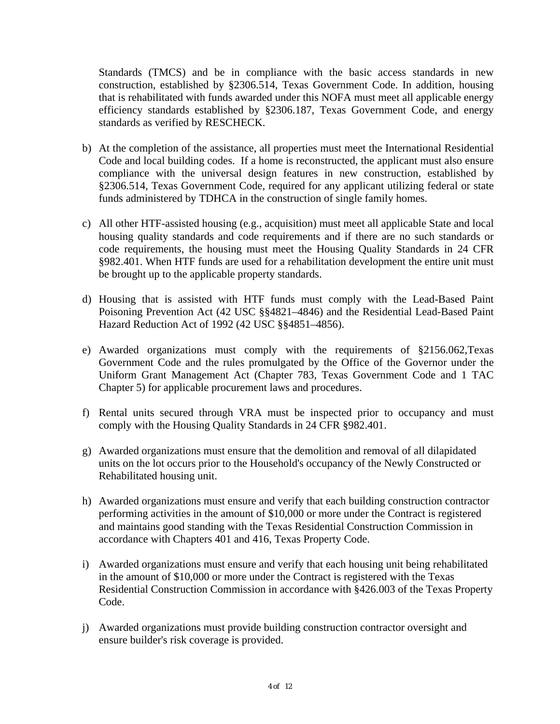Standards (TMCS) and be in compliance with the basic access standards in new construction, established by §2306.514, Texas Government Code. In addition, housing that is rehabilitated with funds awarded under this NOFA must meet all applicable energy efficiency standards established by §2306.187, Texas Government Code, and energy standards as verified by RESCHECK.

- b) At the completion of the assistance, all properties must meet the International Residential Code and local building codes. If a home is reconstructed, the applicant must also ensure compliance with the universal design features in new construction, established by §2306.514, Texas Government Code, required for any applicant utilizing federal or state funds administered by TDHCA in the construction of single family homes.
- c) All other HTF-assisted housing (e.g., acquisition) must meet all applicable State and local housing quality standards and code requirements and if there are no such standards or code requirements, the housing must meet the Housing Quality Standards in 24 CFR §982.401. When HTF funds are used for a rehabilitation development the entire unit must be brought up to the applicable property standards.
- d) Housing that is assisted with HTF funds must comply with the Lead-Based Paint Poisoning Prevention Act (42 USC §§4821–4846) and the Residential Lead-Based Paint Hazard Reduction Act of 1992 (42 USC §§4851–4856).
- e) Awarded organizations must comply with the requirements of §2156.062,Texas Government Code and the rules promulgated by the Office of the Governor under the Uniform Grant Management Act (Chapter 783, Texas Government Code and 1 TAC Chapter 5) for applicable procurement laws and procedures.
- f) Rental units secured through VRA must be inspected prior to occupancy and must comply with the Housing Quality Standards in 24 CFR §982.401.
- g) Awarded organizations must ensure that the demolition and removal of all dilapidated units on the lot occurs prior to the Household's occupancy of the Newly Constructed or Rehabilitated housing unit.
- h) Awarded organizations must ensure and verify that each building construction contractor performing activities in the amount of \$10,000 or more under the Contract is registered and maintains good standing with the Texas Residential Construction Commission in accordance with Chapters 401 and 416, Texas Property Code.
- i) Awarded organizations must ensure and verify that each housing unit being rehabilitated in the amount of \$10,000 or more under the Contract is registered with the Texas Residential Construction Commission in accordance with §426.003 of the Texas Property Code.
- j) Awarded organizations must provide building construction contractor oversight and ensure builder's risk coverage is provided.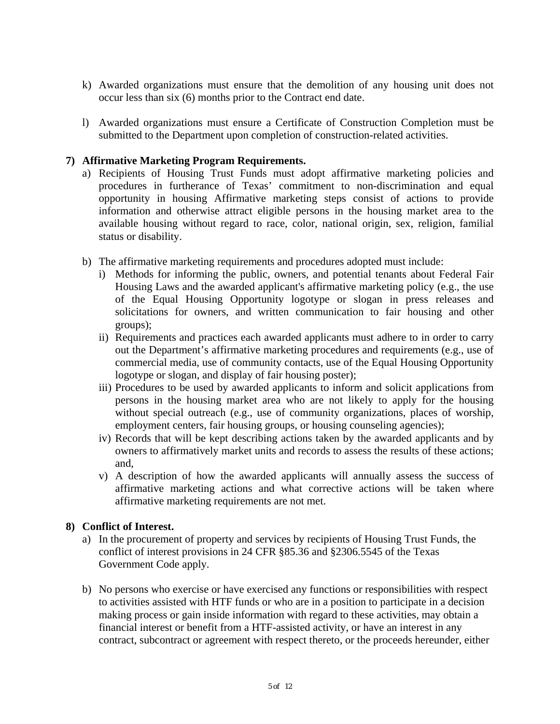- k) Awarded organizations must ensure that the demolition of any housing unit does not occur less than six (6) months prior to the Contract end date.
- l) Awarded organizations must ensure a Certificate of Construction Completion must be submitted to the Department upon completion of construction-related activities.

## **7) Affirmative Marketing Program Requirements.**

- a) Recipients of Housing Trust Funds must adopt affirmative marketing policies and procedures in furtherance of Texas' commitment to non-discrimination and equal opportunity in housing Affirmative marketing steps consist of actions to provide information and otherwise attract eligible persons in the housing market area to the available housing without regard to race, color, national origin, sex, religion, familial status or disability.
- b) The affirmative marketing requirements and procedures adopted must include:
	- i) Methods for informing the public, owners, and potential tenants about Federal Fair Housing Laws and the awarded applicant's affirmative marketing policy (e.g., the use of the Equal Housing Opportunity logotype or slogan in press releases and solicitations for owners, and written communication to fair housing and other groups);
	- ii) Requirements and practices each awarded applicants must adhere to in order to carry out the Department's affirmative marketing procedures and requirements (e.g., use of commercial media, use of community contacts, use of the Equal Housing Opportunity logotype or slogan, and display of fair housing poster);
	- iii) Procedures to be used by awarded applicants to inform and solicit applications from persons in the housing market area who are not likely to apply for the housing without special outreach (e.g., use of community organizations, places of worship, employment centers, fair housing groups, or housing counseling agencies);
	- iv) Records that will be kept describing actions taken by the awarded applicants and by owners to affirmatively market units and records to assess the results of these actions; and,
	- v) A description of how the awarded applicants will annually assess the success of affirmative marketing actions and what corrective actions will be taken where affirmative marketing requirements are not met.

#### **8) Conflict of Interest.**

- a) In the procurement of property and services by recipients of Housing Trust Funds, the conflict of interest provisions in 24 CFR §85.36 and §2306.5545 of the Texas Government Code apply.
- b) No persons who exercise or have exercised any functions or responsibilities with respect to activities assisted with HTF funds or who are in a position to participate in a decision making process or gain inside information with regard to these activities, may obtain a financial interest or benefit from a HTF-assisted activity, or have an interest in any contract, subcontract or agreement with respect thereto, or the proceeds hereunder, either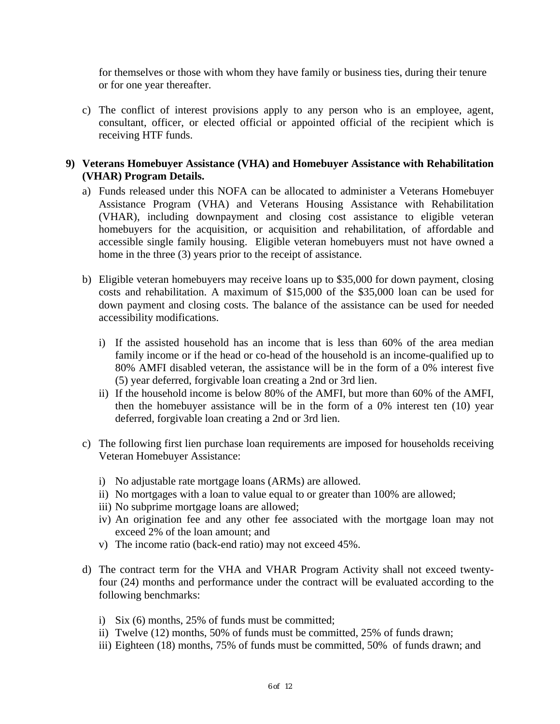for themselves or those with whom they have family or business ties, during their tenure or for one year thereafter.

c) The conflict of interest provisions apply to any person who is an employee, agent, consultant, officer, or elected official or appointed official of the recipient which is receiving HTF funds.

#### **9) Veterans Homebuyer Assistance (VHA) and Homebuyer Assistance with Rehabilitation (VHAR) Program Details.**

- a) Funds released under this NOFA can be allocated to administer a Veterans Homebuyer Assistance Program (VHA) and Veterans Housing Assistance with Rehabilitation (VHAR), including downpayment and closing cost assistance to eligible veteran homebuyers for the acquisition, or acquisition and rehabilitation, of affordable and accessible single family housing. Eligible veteran homebuyers must not have owned a home in the three (3) years prior to the receipt of assistance.
- b) Eligible veteran homebuyers may receive loans up to \$35,000 for down payment, closing costs and rehabilitation. A maximum of \$15,000 of the \$35,000 loan can be used for down payment and closing costs. The balance of the assistance can be used for needed accessibility modifications.
	- i) If the assisted household has an income that is less than 60% of the area median family income or if the head or co-head of the household is an income-qualified up to 80% AMFI disabled veteran, the assistance will be in the form of a 0% interest five (5) year deferred, forgivable loan creating a 2nd or 3rd lien.
	- ii) If the household income is below 80% of the AMFI, but more than 60% of the AMFI, then the homebuyer assistance will be in the form of a 0% interest ten (10) year deferred, forgivable loan creating a 2nd or 3rd lien.
- c) The following first lien purchase loan requirements are imposed for households receiving Veteran Homebuyer Assistance:
	- i) No adjustable rate mortgage loans (ARMs) are allowed.
	- ii) No mortgages with a loan to value equal to or greater than 100% are allowed;
	- iii) No subprime mortgage loans are allowed;
	- iv) An origination fee and any other fee associated with the mortgage loan may not exceed 2% of the loan amount; and
	- v) The income ratio (back-end ratio) may not exceed 45%.
- d) The contract term for the VHA and VHAR Program Activity shall not exceed twentyfour (24) months and performance under the contract will be evaluated according to the following benchmarks:
	- i) Six (6) months, 25% of funds must be committed;
	- ii) Twelve (12) months, 50% of funds must be committed, 25% of funds drawn;
	- iii) Eighteen (18) months, 75% of funds must be committed, 50% of funds drawn; and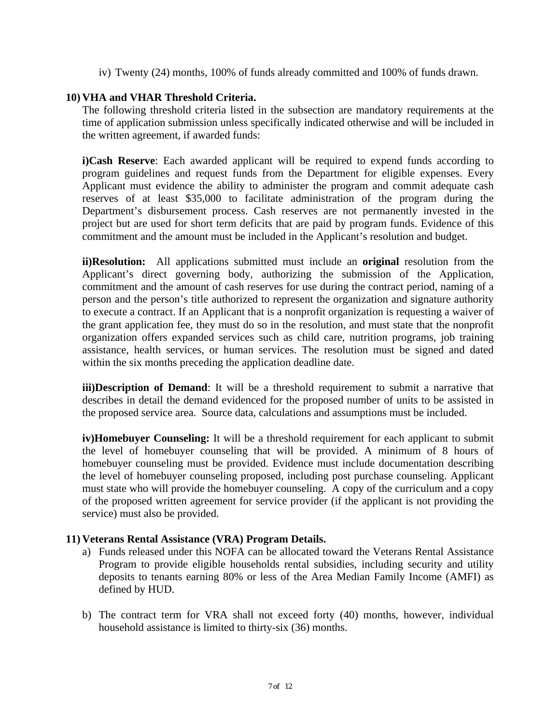iv) Twenty (24) months, 100% of funds already committed and 100% of funds drawn.

#### **10) VHA and VHAR Threshold Criteria.**

The following threshold criteria listed in the subsection are mandatory requirements at the time of application submission unless specifically indicated otherwise and will be included in the written agreement, if awarded funds:

**i)Cash Reserve**: Each awarded applicant will be required to expend funds according to program guidelines and request funds from the Department for eligible expenses. Every Applicant must evidence the ability to administer the program and commit adequate cash reserves of at least \$35,000 to facilitate administration of the program during the Department's disbursement process. Cash reserves are not permanently invested in the project but are used for short term deficits that are paid by program funds. Evidence of this commitment and the amount must be included in the Applicant's resolution and budget.

**ii)Resolution:** All applications submitted must include an **original** resolution from the Applicant's direct governing body, authorizing the submission of the Application, commitment and the amount of cash reserves for use during the contract period, naming of a person and the person's title authorized to represent the organization and signature authority to execute a contract. If an Applicant that is a nonprofit organization is requesting a waiver of the grant application fee, they must do so in the resolution, and must state that the nonprofit organization offers expanded services such as child care, nutrition programs, job training assistance, health services, or human services. The resolution must be signed and dated within the six months preceding the application deadline date.

**iii)Description of Demand**: It will be a threshold requirement to submit a narrative that describes in detail the demand evidenced for the proposed number of units to be assisted in the proposed service area. Source data, calculations and assumptions must be included.

**iv)Homebuyer Counseling:** It will be a threshold requirement for each applicant to submit the level of homebuyer counseling that will be provided. A minimum of 8 hours of homebuyer counseling must be provided. Evidence must include documentation describing the level of homebuyer counseling proposed, including post purchase counseling. Applicant must state who will provide the homebuyer counseling. A copy of the curriculum and a copy of the proposed written agreement for service provider (if the applicant is not providing the service) must also be provided.

#### **11) Veterans Rental Assistance (VRA) Program Details.**

- a) Funds released under this NOFA can be allocated toward the Veterans Rental Assistance Program to provide eligible households rental subsidies, including security and utility deposits to tenants earning 80% or less of the Area Median Family Income (AMFI) as defined by HUD.
- b) The contract term for VRA shall not exceed forty (40) months, however, individual household assistance is limited to thirty-six (36) months.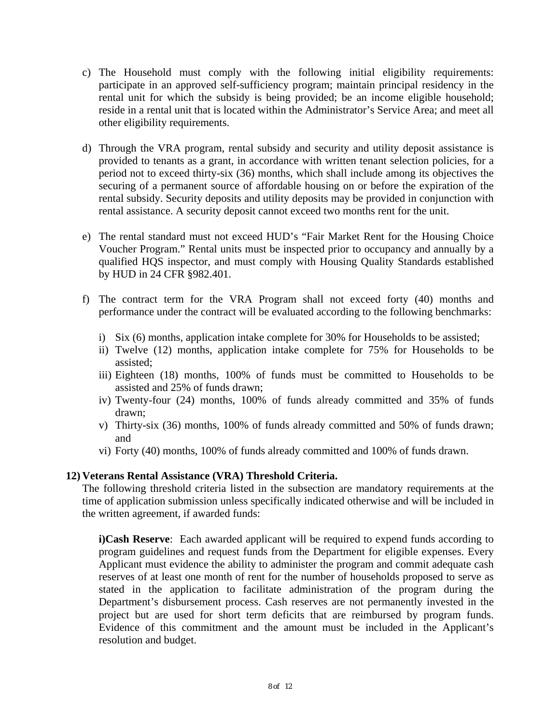- c) The Household must comply with the following initial eligibility requirements: participate in an approved self-sufficiency program; maintain principal residency in the rental unit for which the subsidy is being provided; be an income eligible household; reside in a rental unit that is located within the Administrator's Service Area; and meet all other eligibility requirements.
- d) Through the VRA program, rental subsidy and security and utility deposit assistance is provided to tenants as a grant, in accordance with written tenant selection policies, for a period not to exceed thirty-six (36) months, which shall include among its objectives the securing of a permanent source of affordable housing on or before the expiration of the rental subsidy. Security deposits and utility deposits may be provided in conjunction with rental assistance. A security deposit cannot exceed two months rent for the unit.
- e) The rental standard must not exceed HUD's "Fair Market Rent for the Housing Choice Voucher Program." Rental units must be inspected prior to occupancy and annually by a qualified HQS inspector, and must comply with Housing Quality Standards established by HUD in 24 CFR §982.401.
- f) The contract term for the VRA Program shall not exceed forty (40) months and performance under the contract will be evaluated according to the following benchmarks:
	- i) Six (6) months, application intake complete for 30% for Households to be assisted;
	- ii) Twelve (12) months, application intake complete for 75% for Households to be assisted;
	- iii) Eighteen (18) months, 100% of funds must be committed to Households to be assisted and 25% of funds drawn;
	- iv) Twenty-four (24) months, 100% of funds already committed and 35% of funds drawn;
	- v) Thirty-six (36) months, 100% of funds already committed and 50% of funds drawn; and
	- vi) Forty (40) months, 100% of funds already committed and 100% of funds drawn.

#### **12) Veterans Rental Assistance (VRA) Threshold Criteria.**

The following threshold criteria listed in the subsection are mandatory requirements at the time of application submission unless specifically indicated otherwise and will be included in the written agreement, if awarded funds:

**i)Cash Reserve**: Each awarded applicant will be required to expend funds according to program guidelines and request funds from the Department for eligible expenses. Every Applicant must evidence the ability to administer the program and commit adequate cash reserves of at least one month of rent for the number of households proposed to serve as stated in the application to facilitate administration of the program during the Department's disbursement process. Cash reserves are not permanently invested in the project but are used for short term deficits that are reimbursed by program funds. Evidence of this commitment and the amount must be included in the Applicant's resolution and budget.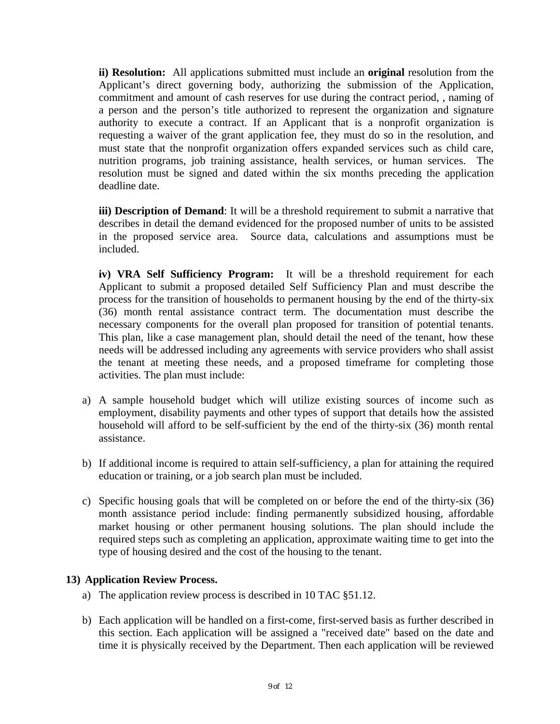**ii) Resolution:** All applications submitted must include an **original** resolution from the Applicant's direct governing body, authorizing the submission of the Application, commitment and amount of cash reserves for use during the contract period, , naming of a person and the person's title authorized to represent the organization and signature authority to execute a contract. If an Applicant that is a nonprofit organization is requesting a waiver of the grant application fee, they must do so in the resolution, and must state that the nonprofit organization offers expanded services such as child care, nutrition programs, job training assistance, health services, or human services. The resolution must be signed and dated within the six months preceding the application deadline date.

**iii) Description of Demand**: It will be a threshold requirement to submit a narrative that describes in detail the demand evidenced for the proposed number of units to be assisted in the proposed service area. Source data, calculations and assumptions must be included.

**iv) VRA Self Sufficiency Program:** It will be a threshold requirement for each Applicant to submit a proposed detailed Self Sufficiency Plan and must describe the process for the transition of households to permanent housing by the end of the thirty-six (36) month rental assistance contract term. The documentation must describe the necessary components for the overall plan proposed for transition of potential tenants. This plan, like a case management plan, should detail the need of the tenant, how these needs will be addressed including any agreements with service providers who shall assist the tenant at meeting these needs, and a proposed timeframe for completing those activities. The plan must include:

- a) A sample household budget which will utilize existing sources of income such as employment, disability payments and other types of support that details how the assisted household will afford to be self-sufficient by the end of the thirty-six (36) month rental assistance.
- b) If additional income is required to attain self-sufficiency, a plan for attaining the required education or training, or a job search plan must be included.
- c) Specific housing goals that will be completed on or before the end of the thirty-six (36) month assistance period include: finding permanently subsidized housing, affordable market housing or other permanent housing solutions. The plan should include the required steps such as completing an application, approximate waiting time to get into the type of housing desired and the cost of the housing to the tenant.

## **13) Application Review Process.**

- a) The application review process is described in 10 TAC §51.12.
- b) Each application will be handled on a first-come, first-served basis as further described in this section. Each application will be assigned a "received date" based on the date and time it is physically received by the Department. Then each application will be reviewed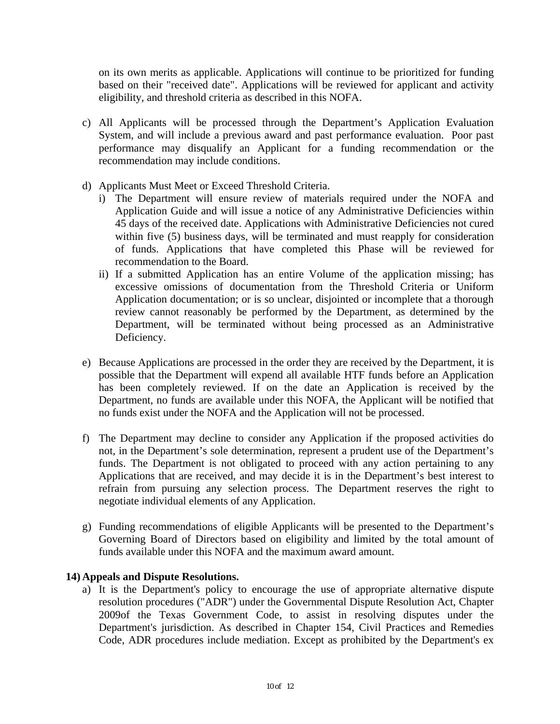on its own merits as applicable. Applications will continue to be prioritized for funding based on their "received date". Applications will be reviewed for applicant and activity eligibility, and threshold criteria as described in this NOFA.

- c) All Applicants will be processed through the Department's Application Evaluation System, and will include a previous award and past performance evaluation. Poor past performance may disqualify an Applicant for a funding recommendation or the recommendation may include conditions.
- d) Applicants Must Meet or Exceed Threshold Criteria.
	- i) The Department will ensure review of materials required under the NOFA and Application Guide and will issue a notice of any Administrative Deficiencies within 45 days of the received date. Applications with Administrative Deficiencies not cured within five (5) business days, will be terminated and must reapply for consideration of funds. Applications that have completed this Phase will be reviewed for recommendation to the Board.
	- ii) If a submitted Application has an entire Volume of the application missing; has excessive omissions of documentation from the Threshold Criteria or Uniform Application documentation; or is so unclear, disjointed or incomplete that a thorough review cannot reasonably be performed by the Department, as determined by the Department, will be terminated without being processed as an Administrative Deficiency.
- e) Because Applications are processed in the order they are received by the Department, it is possible that the Department will expend all available HTF funds before an Application has been completely reviewed. If on the date an Application is received by the Department, no funds are available under this NOFA, the Applicant will be notified that no funds exist under the NOFA and the Application will not be processed.
- f) The Department may decline to consider any Application if the proposed activities do not, in the Department's sole determination, represent a prudent use of the Department's funds. The Department is not obligated to proceed with any action pertaining to any Applications that are received, and may decide it is in the Department's best interest to refrain from pursuing any selection process. The Department reserves the right to negotiate individual elements of any Application.
- g) Funding recommendations of eligible Applicants will be presented to the Department's Governing Board of Directors based on eligibility and limited by the total amount of funds available under this NOFA and the maximum award amount.

#### **14) Appeals and Dispute Resolutions.**

a) It is the Department's policy to encourage the use of appropriate alternative dispute resolution procedures ("ADR") under the Governmental Dispute Resolution Act, Chapter 2009of the Texas Government Code, to assist in resolving disputes under the Department's jurisdiction. As described in Chapter 154, Civil Practices and Remedies Code, ADR procedures include mediation. Except as prohibited by the Department's ex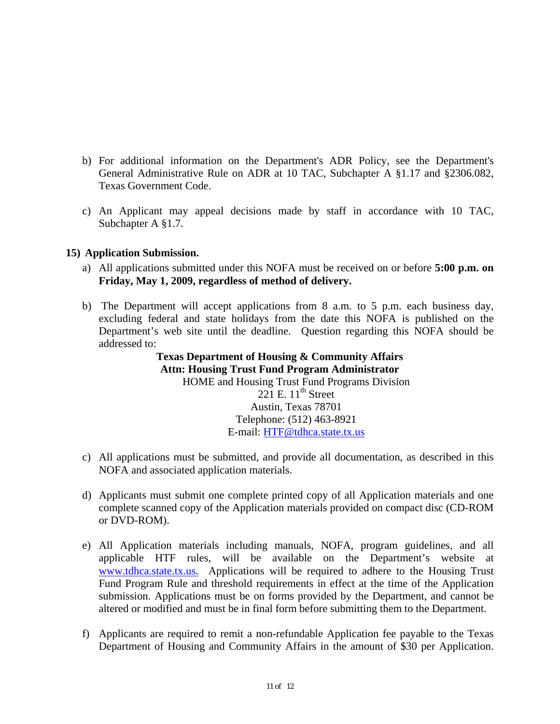- b) For additional information on the Department's ADR Policy, see the Department's General Administrative Rule on ADR at 10 TAC, Subchapter A §1.17 and §2306.082, Texas Government Code.
- c) An Applicant may appeal decisions made by staff in accordance with 10 TAC, Subchapter A §1.7.

#### **15) Application Submission.**

- a) All applications submitted under this NOFA must be received on or before **5:00 p.m. on Friday, May 1, 2009, regardless of method of delivery.**
- b) The Department will accept applications from 8 a.m. to 5 p.m. each business day, excluding federal and state holidays from the date this NOFA is published on the Department's web site until the deadline. Question regarding this NOFA should be addressed to:

**Texas Department of Housing & Community Affairs Attn: Housing Trust Fund Program Administrator**  HOME and Housing Trust Fund Programs Division  $221$  E.  $11^{\text{th}}$  Street Austin, Texas 78701 Telephone: (512) 463-8921 E-mail: [HTF@tdhca.state.tx.us](mailto:HOME@tdhca.state.tx.us)

- c) All applications must be submitted, and provide all documentation, as described in this NOFA and associated application materials.
- d) Applicants must submit one complete printed copy of all Application materials and one complete scanned copy of the Application materials provided on compact disc (CD-ROM or DVD-ROM).
- e) All Application materials including manuals, NOFA, program guidelines, and all applicable HTF rules, will be available on the Department's website at [www.tdhca.state.tx.us.](http://www.tdhca.state.tx.us./) Applications will be required to adhere to the Housing Trust Fund Program Rule and threshold requirements in effect at the time of the Application submission. Applications must be on forms provided by the Department, and cannot be altered or modified and must be in final form before submitting them to the Department.
- f) Applicants are required to remit a non-refundable Application fee payable to the Texas Department of Housing and Community Affairs in the amount of \$30 per Application.